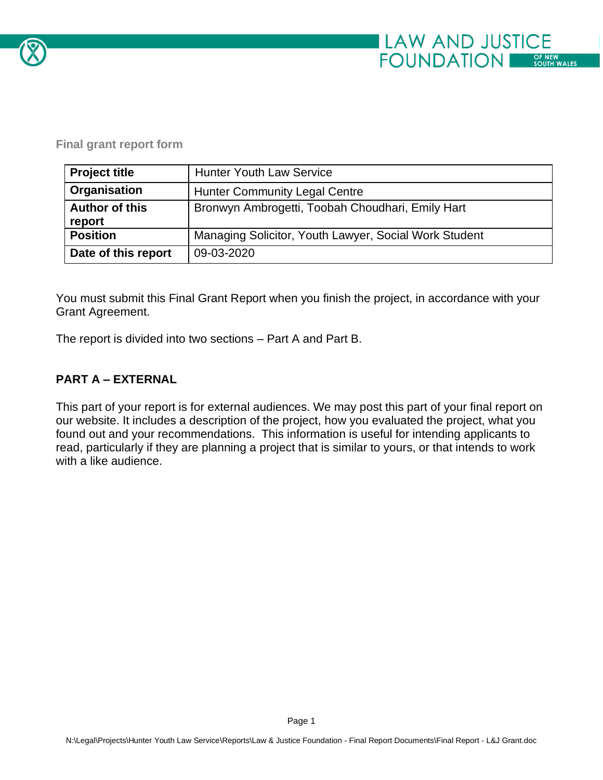

#### **Final grant report form**

| <b>Project title</b>            | <b>Hunter Youth Law Service</b>                       |
|---------------------------------|-------------------------------------------------------|
| Organisation                    | <b>Hunter Community Legal Centre</b>                  |
| <b>Author of this</b><br>report | Bronwyn Ambrogetti, Toobah Choudhari, Emily Hart      |
| <b>Position</b>                 | Managing Solicitor, Youth Lawyer, Social Work Student |
| Date of this report             | 09-03-2020                                            |

You must submit this Final Grant Report when you finish the project, in accordance with your Grant Agreement.

The report is divided into two sections – Part A and Part B.

### **PART A – EXTERNAL**

This part of your report is for external audiences. We may post this part of your final report on our website. It includes a description of the project, how you evaluated the project, what you found out and your recommendations. This information is useful for intending applicants to read, particularly if they are planning a project that is similar to yours, or that intends to work with a like audience.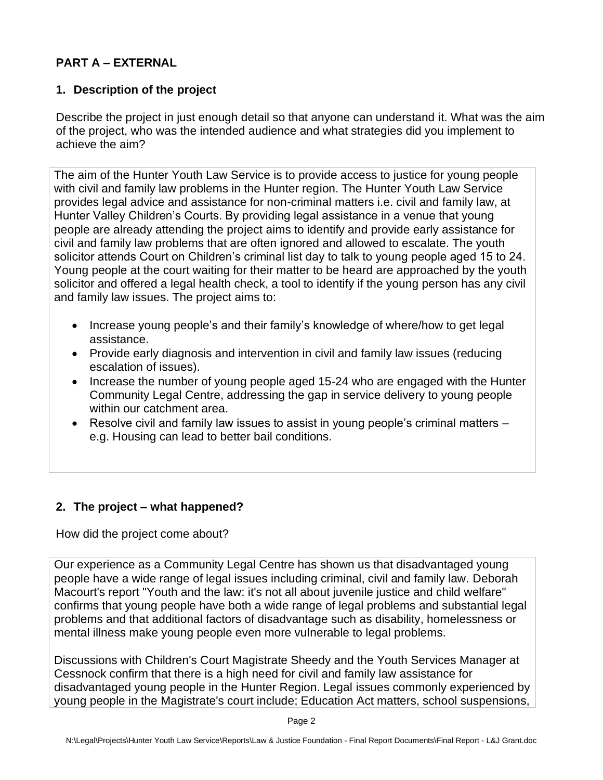## **PART A – EXTERNAL**

## **1. Description of the project**

Describe the project in just enough detail so that anyone can understand it. What was the aim of the project, who was the intended audience and what strategies did you implement to achieve the aim?

The aim of the Hunter Youth Law Service is to provide access to justice for young people with civil and family law problems in the Hunter region. The Hunter Youth Law Service provides legal advice and assistance for non-criminal matters i.e. civil and family law, at Hunter Valley Children's Courts. By providing legal assistance in a venue that young people are already attending the project aims to identify and provide early assistance for civil and family law problems that are often ignored and allowed to escalate. The youth solicitor attends Court on Children's criminal list day to talk to young people aged 15 to 24. Young people at the court waiting for their matter to be heard are approached by the youth solicitor and offered a legal health check, a tool to identify if the young person has any civil and family law issues. The project aims to:

- Increase young people's and their family's knowledge of where/how to get legal assistance.
- Provide early diagnosis and intervention in civil and family law issues (reducing escalation of issues).
- Increase the number of young people aged 15-24 who are engaged with the Hunter Community Legal Centre, addressing the gap in service delivery to young people within our catchment area.
- Resolve civil and family law issues to assist in young people's criminal matters e.g. Housing can lead to better bail conditions.

# **2. The project – what happened?**

How did the project come about?

Our experience as a Community Legal Centre has shown us that disadvantaged young people have a wide range of legal issues including criminal, civil and family law. Deborah Macourt's report "Youth and the law: it's not all about juvenile justice and child welfare" confirms that young people have both a wide range of legal problems and substantial legal problems and that additional factors of disadvantage such as disability, homelessness or mental illness make young people even more vulnerable to legal problems.

Discussions with Children's Court Magistrate Sheedy and the Youth Services Manager at Cessnock confirm that there is a high need for civil and family law assistance for disadvantaged young people in the Hunter Region. Legal issues commonly experienced by young people in the Magistrate's court include; Education Act matters, school suspensions,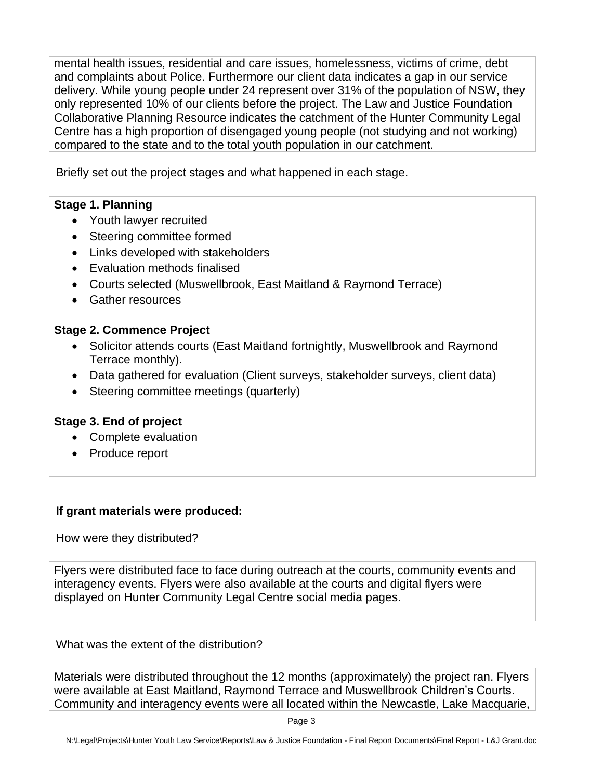mental health issues, residential and care issues, homelessness, victims of crime, debt and complaints about Police. Furthermore our client data indicates a gap in our service delivery. While young people under 24 represent over 31% of the population of NSW, they only represented 10% of our clients before the project. The Law and Justice Foundation Collaborative Planning Resource indicates the catchment of the Hunter Community Legal Centre has a high proportion of disengaged young people (not studying and not working) compared to the state and to the total youth population in our catchment.

Briefly set out the project stages and what happened in each stage.

#### **Stage 1. Planning**

- Youth lawyer recruited
- Steering committee formed
- Links developed with stakeholders
- Evaluation methods finalised
- Courts selected (Muswellbrook, East Maitland & Raymond Terrace)
- Gather resources

### **Stage 2. Commence Project**

- Solicitor attends courts (East Maitland fortnightly, Muswellbrook and Raymond Terrace monthly).
- Data gathered for evaluation (Client surveys, stakeholder surveys, client data)
- Steering committee meetings (quarterly)

# **Stage 3. End of project**

- Complete evaluation
- Produce report

### **If grant materials were produced:**

How were they distributed?

Flyers were distributed face to face during outreach at the courts, community events and interagency events. Flyers were also available at the courts and digital flyers were displayed on Hunter Community Legal Centre social media pages.

What was the extent of the distribution?

Materials were distributed throughout the 12 months (approximately) the project ran. Flyers were available at East Maitland, Raymond Terrace and Muswellbrook Children's Courts. Community and interagency events were all located within the Newcastle, Lake Macquarie,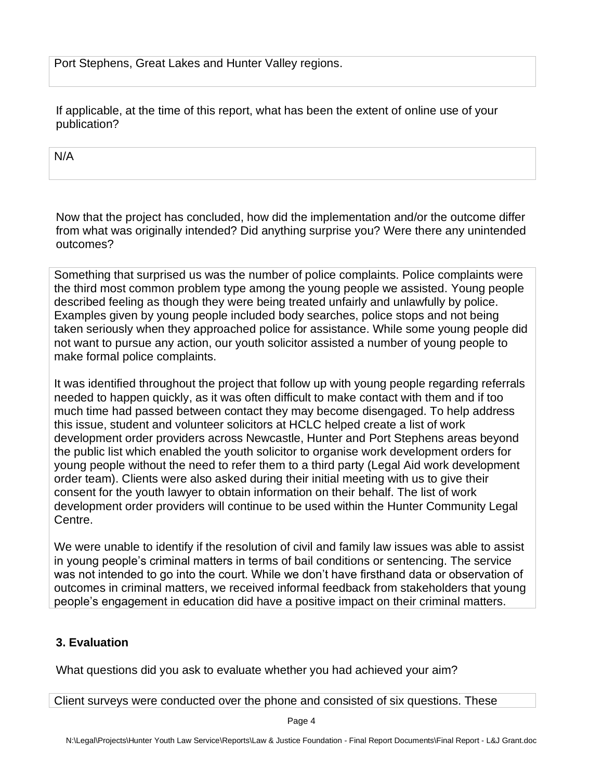Port Stephens, Great Lakes and Hunter Valley regions.

If applicable, at the time of this report, what has been the extent of online use of your publication?

N/A

Now that the project has concluded, how did the implementation and/or the outcome differ from what was originally intended? Did anything surprise you? Were there any unintended outcomes?

Something that surprised us was the number of police complaints. Police complaints were the third most common problem type among the young people we assisted. Young people described feeling as though they were being treated unfairly and unlawfully by police. Examples given by young people included body searches, police stops and not being taken seriously when they approached police for assistance. While some young people did not want to pursue any action, our youth solicitor assisted a number of young people to make formal police complaints.

It was identified throughout the project that follow up with young people regarding referrals needed to happen quickly, as it was often difficult to make contact with them and if too much time had passed between contact they may become disengaged. To help address this issue, student and volunteer solicitors at HCLC helped create a list of work development order providers across Newcastle, Hunter and Port Stephens areas beyond the public list which enabled the youth solicitor to organise work development orders for young people without the need to refer them to a third party (Legal Aid work development order team). Clients were also asked during their initial meeting with us to give their consent for the youth lawyer to obtain information on their behalf. The list of work development order providers will continue to be used within the Hunter Community Legal Centre.

We were unable to identify if the resolution of civil and family law issues was able to assist in young people's criminal matters in terms of bail conditions or sentencing. The service was not intended to go into the court. While we don't have firsthand data or observation of outcomes in criminal matters, we received informal feedback from stakeholders that young people's engagement in education did have a positive impact on their criminal matters.

### **3. Evaluation**

What questions did you ask to evaluate whether you had achieved your aim?

Client surveys were conducted over the phone and consisted of six questions. These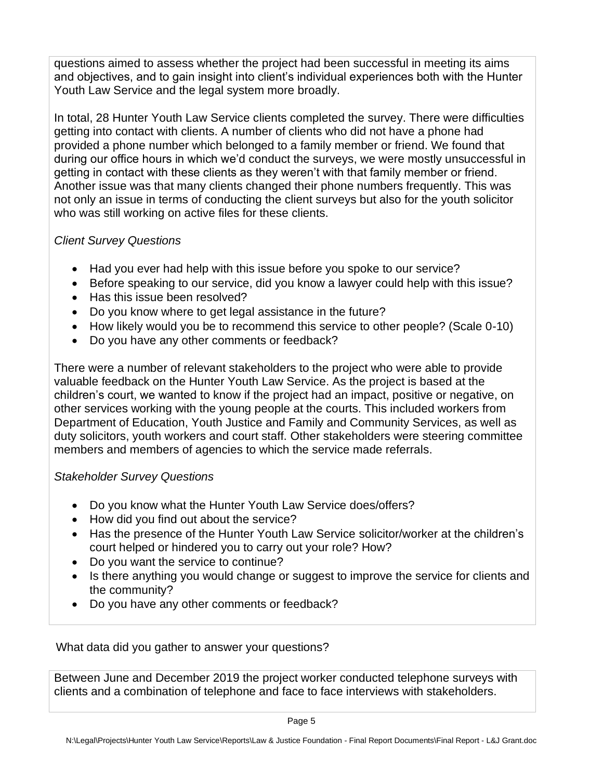questions aimed to assess whether the project had been successful in meeting its aims and objectives, and to gain insight into client's individual experiences both with the Hunter Youth Law Service and the legal system more broadly.

In total, 28 Hunter Youth Law Service clients completed the survey. There were difficulties getting into contact with clients. A number of clients who did not have a phone had provided a phone number which belonged to a family member or friend. We found that during our office hours in which we'd conduct the surveys, we were mostly unsuccessful in getting in contact with these clients as they weren't with that family member or friend. Another issue was that many clients changed their phone numbers frequently. This was not only an issue in terms of conducting the client surveys but also for the youth solicitor who was still working on active files for these clients.

# *Client Survey Questions*

- Had you ever had help with this issue before you spoke to our service?
- Before speaking to our service, did you know a lawyer could help with this issue?
- Has this issue been resolved?
- Do you know where to get legal assistance in the future?
- How likely would you be to recommend this service to other people? (Scale 0-10)
- Do you have any other comments or feedback?

There were a number of relevant stakeholders to the project who were able to provide valuable feedback on the Hunter Youth Law Service. As the project is based at the children's court, we wanted to know if the project had an impact, positive or negative, on other services working with the young people at the courts. This included workers from Department of Education, Youth Justice and Family and Community Services, as well as duty solicitors, youth workers and court staff. Other stakeholders were steering committee members and members of agencies to which the service made referrals.

### *Stakeholder Survey Questions*

- Do you know what the Hunter Youth Law Service does/offers?
- How did you find out about the service?
- Has the presence of the Hunter Youth Law Service solicitor/worker at the children's court helped or hindered you to carry out your role? How?
- Do you want the service to continue?
- Is there anything you would change or suggest to improve the service for clients and the community?
- Do you have any other comments or feedback?

What data did you gather to answer your questions?

Between June and December 2019 the project worker conducted telephone surveys with clients and a combination of telephone and face to face interviews with stakeholders.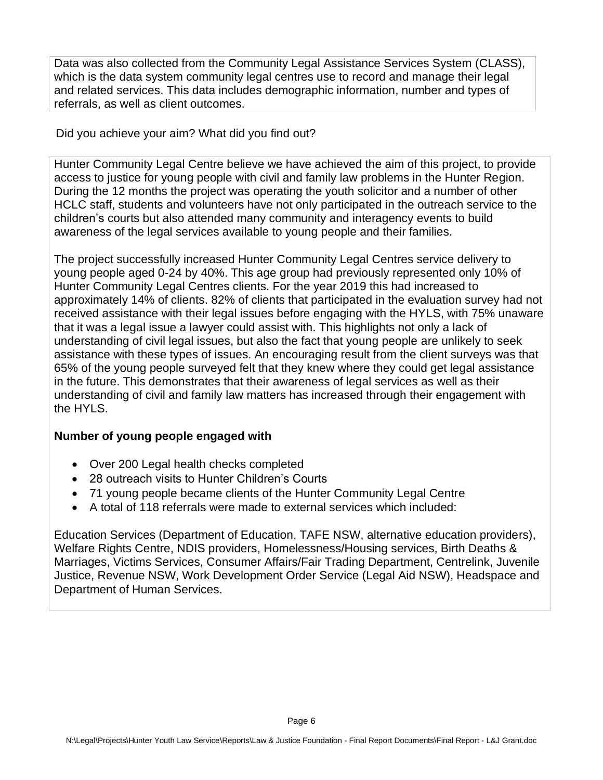Data was also collected from the Community Legal Assistance Services System (CLASS), which is the data system community legal centres use to record and manage their legal and related services. This data includes demographic information, number and types of referrals, as well as client outcomes.

Did you achieve your aim? What did you find out?

Hunter Community Legal Centre believe we have achieved the aim of this project, to provide access to justice for young people with civil and family law problems in the Hunter Region. During the 12 months the project was operating the youth solicitor and a number of other HCLC staff, students and volunteers have not only participated in the outreach service to the children's courts but also attended many community and interagency events to build awareness of the legal services available to young people and their families.

The project successfully increased Hunter Community Legal Centres service delivery to young people aged 0-24 by 40%. This age group had previously represented only 10% of Hunter Community Legal Centres clients. For the year 2019 this had increased to approximately 14% of clients. 82% of clients that participated in the evaluation survey had not received assistance with their legal issues before engaging with the HYLS, with 75% unaware that it was a legal issue a lawyer could assist with. This highlights not only a lack of understanding of civil legal issues, but also the fact that young people are unlikely to seek assistance with these types of issues. An encouraging result from the client surveys was that 65% of the young people surveyed felt that they knew where they could get legal assistance in the future. This demonstrates that their awareness of legal services as well as their understanding of civil and family law matters has increased through their engagement with the HYLS.

### **Number of young people engaged with**

- Over 200 Legal health checks completed
- 28 outreach visits to Hunter Children's Courts
- 71 young people became clients of the Hunter Community Legal Centre
- A total of 118 referrals were made to external services which included:

Education Services (Department of Education, TAFE NSW, alternative education providers), Welfare Rights Centre, NDIS providers, Homelessness/Housing services, Birth Deaths & Marriages, Victims Services, Consumer Affairs/Fair Trading Department, Centrelink, Juvenile Justice, Revenue NSW, Work Development Order Service (Legal Aid NSW), Headspace and Department of Human Services.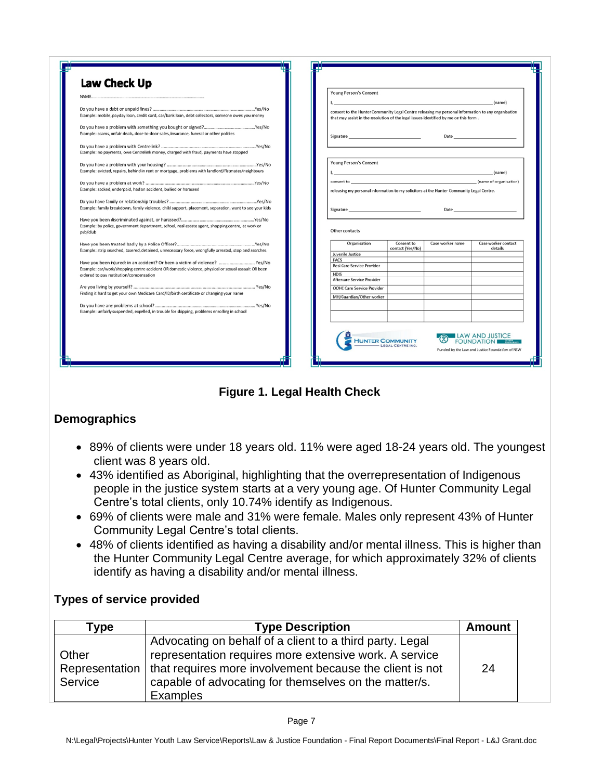| NAME.                                                                                                         | Young Person's Consent            |                                                                                                                                                                                                                                                                                                                                                                                                                                                                |                  |                                              |
|---------------------------------------------------------------------------------------------------------------|-----------------------------------|----------------------------------------------------------------------------------------------------------------------------------------------------------------------------------------------------------------------------------------------------------------------------------------------------------------------------------------------------------------------------------------------------------------------------------------------------------------|------------------|----------------------------------------------|
|                                                                                                               |                                   |                                                                                                                                                                                                                                                                                                                                                                                                                                                                |                  | (name)                                       |
| Example: mobile, payday loan, credit card, car/bank loan, debt collectors, someone owes you money             |                                   | consent to the Hunter Community Legal Centre releasing my personal information to any organisation<br>that may assist in the resolution of the legal issues identified by me on this form.                                                                                                                                                                                                                                                                     |                  |                                              |
| Example: scams, unfair deals, door-to-door sales, insurance, funeral or other policies                        |                                   | Date has been assessed to the contract of the contract of the contract of the contract of the contract of the contract of the contract of the contract of the contract of the contract of the contract of the contract of the<br>Signature and the state of the state of the state of the state of the state of the state of the state of the state of the state of the state of the state of the state of the state of the state of the state of the state of |                  |                                              |
| Example: no payments, owe Centrelink money, charged with fraud, payments have stopped                         |                                   |                                                                                                                                                                                                                                                                                                                                                                                                                                                                |                  |                                              |
| Example: evicted, repairs, behind in rent or mortgage, problems with landlord/flatmates/neighbours            |                                   | <b>Young Person's Consent</b><br>(name)<br>the contract of the contract of the contract of the contract of the contract of                                                                                                                                                                                                                                                                                                                                     |                  |                                              |
|                                                                                                               |                                   |                                                                                                                                                                                                                                                                                                                                                                                                                                                                |                  | (name of organisation)                       |
| Example: sacked, underpaid, had an accident, bullied or harassed                                              |                                   | consent to consent to a series of the consent of the consent of the consent of the consent of the consent of the consent of the consent of the consent of the consent of the consent of the consent of the consent of the cons<br>releasing my personal information to my solicitors at the Hunter Community Legal Centre.                                                                                                                                     |                  |                                              |
|                                                                                                               |                                   |                                                                                                                                                                                                                                                                                                                                                                                                                                                                |                  |                                              |
| Example: family breakdown, family violence, child support, placement, separation, want to see your kids       |                                   |                                                                                                                                                                                                                                                                                                                                                                                                                                                                |                  |                                              |
| Example: by police, government department, school, real estate agent, shopping centre, at work or<br>pub/club | Other contacts<br>Organisation    | Consent to                                                                                                                                                                                                                                                                                                                                                                                                                                                     | Case worker name | Case worker contact                          |
| Example: strip searched, tasered, detained, unnecessary force, wrongfully arrested, stop and searches         | Juvenile Justice                  | contact (Yes/No)                                                                                                                                                                                                                                                                                                                                                                                                                                               |                  | details                                      |
| Have you been injured: in an accident? Or been a victim of violence?  Yes/No                                  | <b>FACS</b>                       |                                                                                                                                                                                                                                                                                                                                                                                                                                                                |                  |                                              |
| Example: car/work/shopping centre accident OR domestic violence, physical or sexual assault OR been           | Resi Care Service Provider        |                                                                                                                                                                                                                                                                                                                                                                                                                                                                |                  |                                              |
| ordered to pay restitution/compensation                                                                       | <b>NDIS</b>                       |                                                                                                                                                                                                                                                                                                                                                                                                                                                                |                  |                                              |
|                                                                                                               | Aftercare Service Provider        |                                                                                                                                                                                                                                                                                                                                                                                                                                                                |                  |                                              |
| Finding it hard to get your own Medicare Card/ID/birth certificate or changing your name                      | <b>OOHC Care Service Provider</b> |                                                                                                                                                                                                                                                                                                                                                                                                                                                                |                  |                                              |
|                                                                                                               | MH/Guardian/Other worker          |                                                                                                                                                                                                                                                                                                                                                                                                                                                                |                  |                                              |
|                                                                                                               |                                   |                                                                                                                                                                                                                                                                                                                                                                                                                                                                |                  |                                              |
| Example: unfairly suspended, expelled, in trouble for skipping, problems enrolling in school                  |                                   |                                                                                                                                                                                                                                                                                                                                                                                                                                                                |                  |                                              |
|                                                                                                               |                                   | <b>HUNTER COMMUNITY</b>                                                                                                                                                                                                                                                                                                                                                                                                                                        |                  | <b>ILAW AND JUSTICE</b><br><b>FOUNDATION</b> |

**Figure 1. Legal Health Check**

### **Demographics**

- 89% of clients were under 18 years old. 11% were aged 18-24 years old. The youngest client was 8 years old.
- 43% identified as Aboriginal, highlighting that the overrepresentation of Indigenous people in the justice system starts at a very young age. Of Hunter Community Legal Centre's total clients, only 10.74% identify as Indigenous.
- 69% of clients were male and 31% were female. Males only represent 43% of Hunter Community Legal Centre's total clients.
- 48% of clients identified as having a disability and/or mental illness. This is higher than the Hunter Community Legal Centre average, for which approximately 32% of clients identify as having a disability and/or mental illness.

### **Types of service provided**

| Type           | <b>Type Description</b>                                  | <b>Amount</b> |
|----------------|----------------------------------------------------------|---------------|
|                | Advocating on behalf of a client to a third party. Legal |               |
| Other          | representation requires more extensive work. A service   |               |
| Representation | that requires more involvement because the client is not | 24            |
| Service        | capable of advocating for themselves on the matter/s.    |               |
|                | Examples                                                 |               |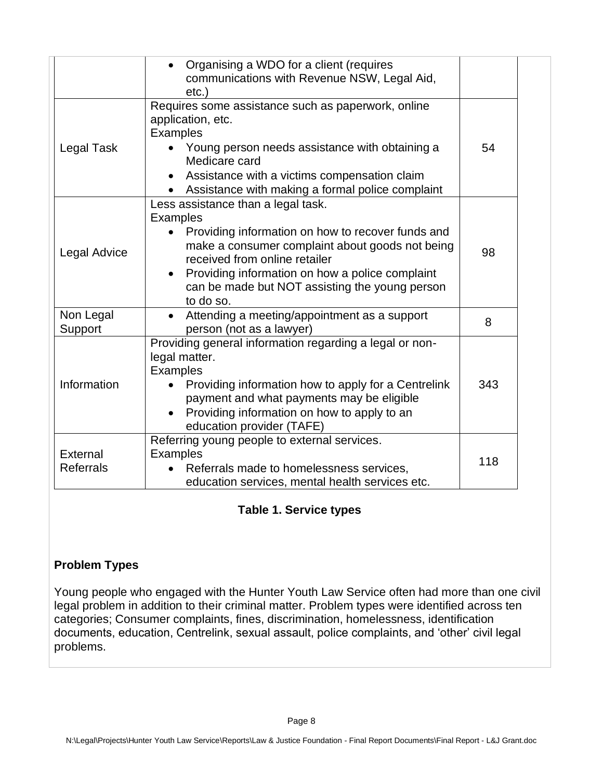|                              | Organising a WDO for a client (requires<br>$\bullet$<br>communications with Revenue NSW, Legal Aid,<br>$etc.$ )                                                                                                                                                                                                               |     |
|------------------------------|-------------------------------------------------------------------------------------------------------------------------------------------------------------------------------------------------------------------------------------------------------------------------------------------------------------------------------|-----|
| Legal Task                   | Requires some assistance such as paperwork, online<br>application, etc.<br><b>Examples</b><br>Young person needs assistance with obtaining a<br>Medicare card<br>Assistance with a victims compensation claim<br>Assistance with making a formal police complaint                                                             | 54  |
| Legal Advice                 | Less assistance than a legal task.<br><b>Examples</b><br>Providing information on how to recover funds and<br>make a consumer complaint about goods not being<br>received from online retailer<br>Providing information on how a police complaint<br>$\bullet$<br>can be made but NOT assisting the young person<br>to do so. | 98  |
| Non Legal<br>Support         | Attending a meeting/appointment as a support<br>person (not as a lawyer)                                                                                                                                                                                                                                                      | 8   |
| Information                  | Providing general information regarding a legal or non-<br>legal matter.<br><b>Examples</b><br>Providing information how to apply for a Centrelink<br>payment and what payments may be eligible<br>Providing information on how to apply to an<br>$\bullet$<br>education provider (TAFE)                                      | 343 |
| External<br><b>Referrals</b> | Referring young people to external services.<br><b>Examples</b><br>Referrals made to homelessness services,<br>education services, mental health services etc.                                                                                                                                                                | 118 |

### **Table 1. Service types**

### **Problem Types**

Young people who engaged with the Hunter Youth Law Service often had more than one civil legal problem in addition to their criminal matter. Problem types were identified across ten categories; Consumer complaints, fines, discrimination, homelessness, identification documents, education, Centrelink, sexual assault, police complaints, and 'other' civil legal problems.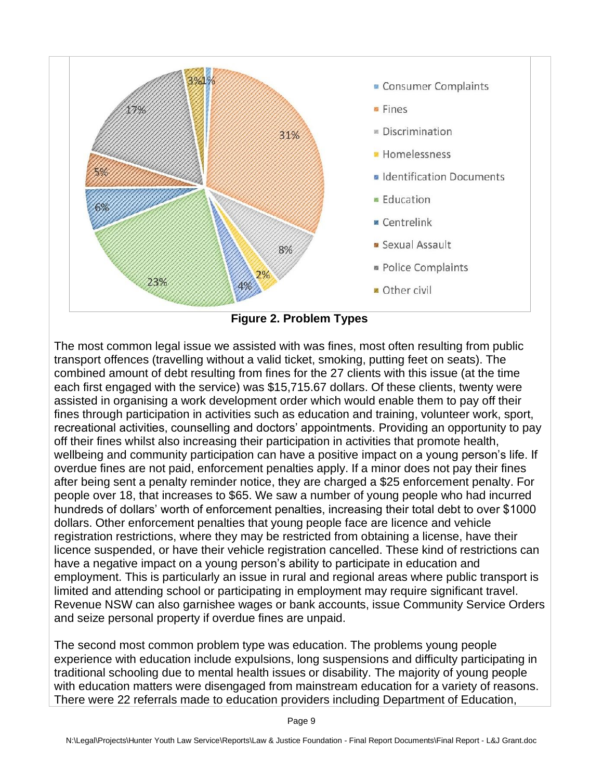

**Figure 2. Problem Types**

The most common legal issue we assisted with was fines, most often resulting from public transport offences (travelling without a valid ticket, smoking, putting feet on seats). The combined amount of debt resulting from fines for the 27 clients with this issue (at the time each first engaged with the service) was \$15,715.67 dollars. Of these clients, twenty were assisted in organising a work development order which would enable them to pay off their fines through participation in activities such as education and training, volunteer work, sport, recreational activities, counselling and doctors' appointments. Providing an opportunity to pay off their fines whilst also increasing their participation in activities that promote health, wellbeing and community participation can have a positive impact on a young person's life. If overdue fines are not paid, enforcement penalties apply. If a minor does not pay their fines after being sent a penalty reminder notice, they are charged a \$25 enforcement penalty. For people over 18, that increases to \$65. We saw a number of young people who had incurred hundreds of dollars' worth of enforcement penalties, increasing their total debt to over \$1000 dollars. Other enforcement penalties that young people face are licence and vehicle registration restrictions, where they may be restricted from obtaining a license, have their licence suspended, or have their vehicle registration cancelled. These kind of restrictions can have a negative impact on a young person's ability to participate in education and employment. This is particularly an issue in rural and regional areas where public transport is limited and attending school or participating in employment may require significant travel. Revenue NSW can also garnishee wages or bank accounts, issue Community Service Orders and seize personal property if overdue fines are unpaid.

The second most common problem type was education. The problems young people experience with education include expulsions, long suspensions and difficulty participating in traditional schooling due to mental health issues or disability. The majority of young people with education matters were disengaged from mainstream education for a variety of reasons. There were 22 referrals made to education providers including Department of Education,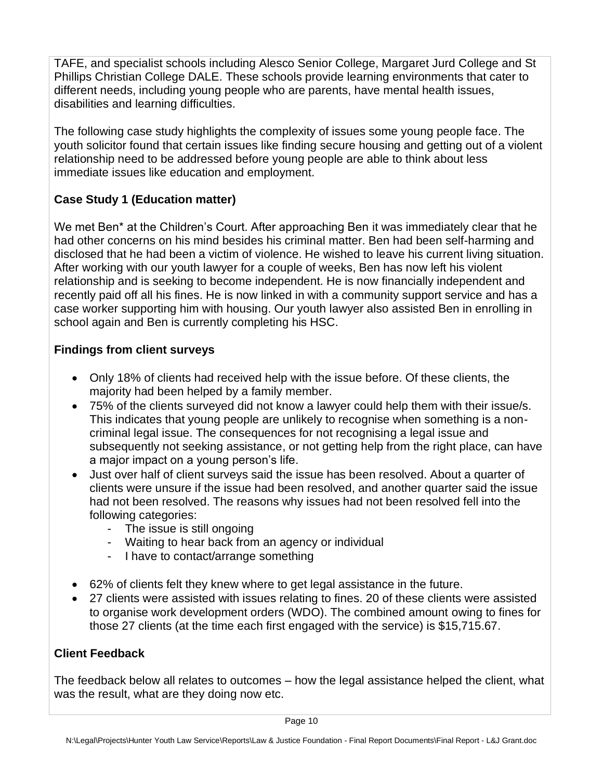TAFE, and specialist schools including Alesco Senior College, Margaret Jurd College and St Phillips Christian College DALE. These schools provide learning environments that cater to different needs, including young people who are parents, have mental health issues, disabilities and learning difficulties.

The following case study highlights the complexity of issues some young people face. The youth solicitor found that certain issues like finding secure housing and getting out of a violent relationship need to be addressed before young people are able to think about less immediate issues like education and employment.

# **Case Study 1 (Education matter)**

We met Ben<sup>\*</sup> at the Children's Court. After approaching Ben it was immediately clear that he had other concerns on his mind besides his criminal matter. Ben had been self-harming and disclosed that he had been a victim of violence. He wished to leave his current living situation. After working with our youth lawyer for a couple of weeks, Ben has now left his violent relationship and is seeking to become independent. He is now financially independent and recently paid off all his fines. He is now linked in with a community support service and has a case worker supporting him with housing. Our youth lawyer also assisted Ben in enrolling in school again and Ben is currently completing his HSC.

### **Findings from client surveys**

- Only 18% of clients had received help with the issue before. Of these clients, the majority had been helped by a family member.
- 75% of the clients surveyed did not know a lawyer could help them with their issue/s. This indicates that young people are unlikely to recognise when something is a noncriminal legal issue. The consequences for not recognising a legal issue and subsequently not seeking assistance, or not getting help from the right place, can have a major impact on a young person's life.
- Just over half of client surveys said the issue has been resolved. About a quarter of clients were unsure if the issue had been resolved, and another quarter said the issue had not been resolved. The reasons why issues had not been resolved fell into the following categories:
	- The issue is still ongoing
	- Waiting to hear back from an agency or individual
	- I have to contact/arrange something
- 62% of clients felt they knew where to get legal assistance in the future.
- 27 clients were assisted with issues relating to fines. 20 of these clients were assisted to organise work development orders (WDO). The combined amount owing to fines for those 27 clients (at the time each first engaged with the service) is \$15,715.67.

#### **Client Feedback**

The feedback below all relates to outcomes – how the legal assistance helped the client, what was the result, what are they doing now etc.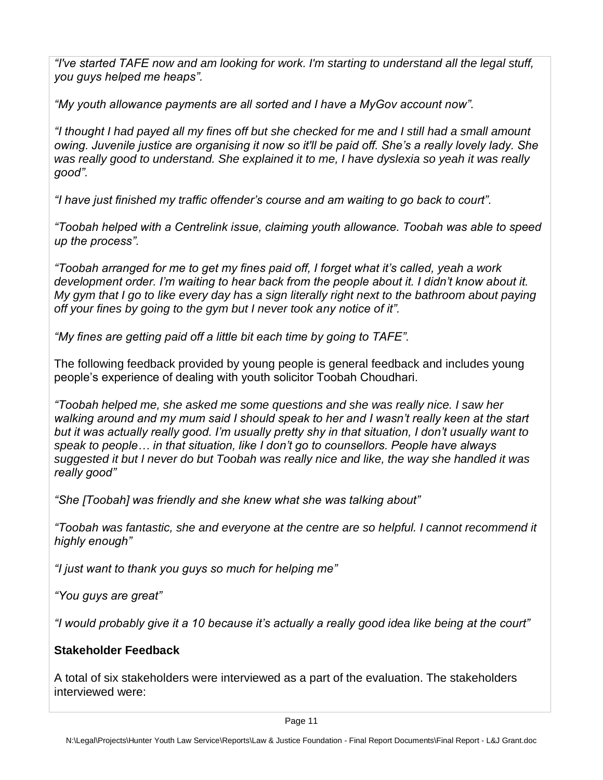*"I've started TAFE now and am looking for work. I'm starting to understand all the legal stuff, you guys helped me heaps".* 

*"My youth allowance payments are all sorted and I have a MyGov account now".*

*"I thought I had payed all my fines off but she checked for me and I still had a small amount owing. Juvenile justice are organising it now so it'll be paid off. She's a really lovely lady. She was really good to understand. She explained it to me, I have dyslexia so yeah it was really good".*

*"I have just finished my traffic offender's course and am waiting to go back to court".*

*"Toobah helped with a Centrelink issue, claiming youth allowance. Toobah was able to speed up the process".*

*"Toobah arranged for me to get my fines paid off, I forget what it's called, yeah a work development order. I'm waiting to hear back from the people about it. I didn't know about it. My gym that I go to like every day has a sign literally right next to the bathroom about paying off your fines by going to the gym but I never took any notice of it".*

*"My fines are getting paid off a little bit each time by going to TAFE".*

The following feedback provided by young people is general feedback and includes young people's experience of dealing with youth solicitor Toobah Choudhari.

*"Toobah helped me, she asked me some questions and she was really nice. I saw her walking around and my mum said I should speak to her and I wasn't really keen at the start but it was actually really good. I'm usually pretty shy in that situation, I don't usually want to speak to people… in that situation, like I don't go to counsellors. People have always suggested it but I never do but Toobah was really nice and like, the way she handled it was really good"*

*"She [Toobah] was friendly and she knew what she was talking about"*

*"Toobah was fantastic, she and everyone at the centre are so helpful. I cannot recommend it highly enough"*

*"I just want to thank you guys so much for helping me"*

*"You guys are great"*

*"I would probably give it a 10 because it's actually a really good idea like being at the court"*

### **Stakeholder Feedback**

A total of six stakeholders were interviewed as a part of the evaluation. The stakeholders interviewed were: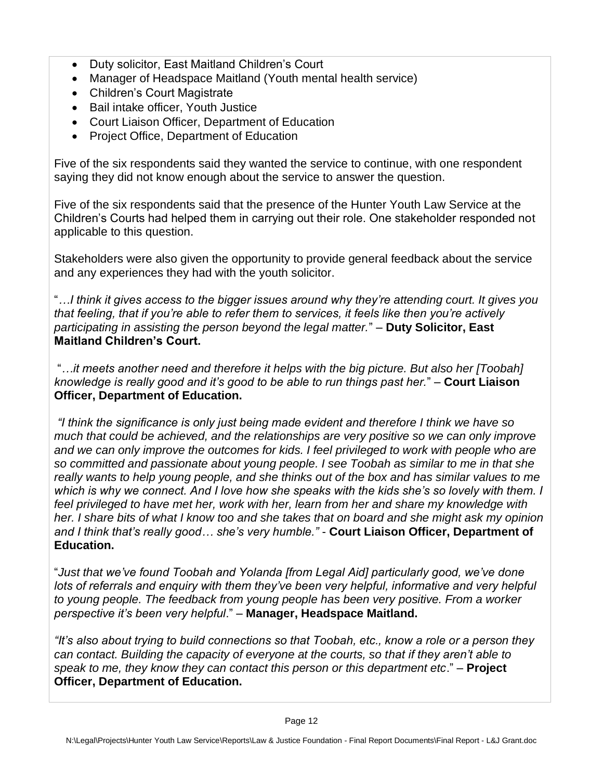- Duty solicitor, East Maitland Children's Court
- Manager of Headspace Maitland (Youth mental health service)
- Children's Court Magistrate
- Bail intake officer, Youth Justice
- Court Liaison Officer, Department of Education
- Project Office, Department of Education

Five of the six respondents said they wanted the service to continue, with one respondent saying they did not know enough about the service to answer the question.

Five of the six respondents said that the presence of the Hunter Youth Law Service at the Children's Courts had helped them in carrying out their role. One stakeholder responded not applicable to this question.

Stakeholders were also given the opportunity to provide general feedback about the service and any experiences they had with the youth solicitor.

"*…I think it gives access to the bigger issues around why they're attending court. It gives you that feeling, that if you're able to refer them to services, it feels like then you're actively participating in assisting the person beyond the legal matter.*" – **Duty Solicitor, East Maitland Children's Court.** 

"*…it meets another need and therefore it helps with the big picture. But also her [Toobah] knowledge is really good and it's good to be able to run things past her.*" – **Court Liaison Officer, Department of Education.** 

*"I think the significance is only just being made evident and therefore I think we have so much that could be achieved, and the relationships are very positive so we can only improve and we can only improve the outcomes for kids. I feel privileged to work with people who are so committed and passionate about young people. I see Toobah as similar to me in that she really wants to help young people, and she thinks out of the box and has similar values to me which is why we connect. And I love how she speaks with the kids she's so lovely with them. I feel privileged to have met her, work with her, learn from her and share my knowledge with her. I share bits of what I know too and she takes that on board and she might ask my opinion and I think that's really good… she's very humble."* - **Court Liaison Officer, Department of Education.**

"*Just that we've found Toobah and Yolanda [from Legal Aid] particularly good, we've done lots of referrals and enquiry with them they've been very helpful, informative and very helpful to young people. The feedback from young people has been very positive. From a worker perspective it's been very helpful*." – **Manager, Headspace Maitland.**

*"It's also about trying to build connections so that Toobah, etc., know a role or a person they can contact. Building the capacity of everyone at the courts, so that if they aren't able to speak to me, they know they can contact this person or this department etc*." – **Project Officer, Department of Education.**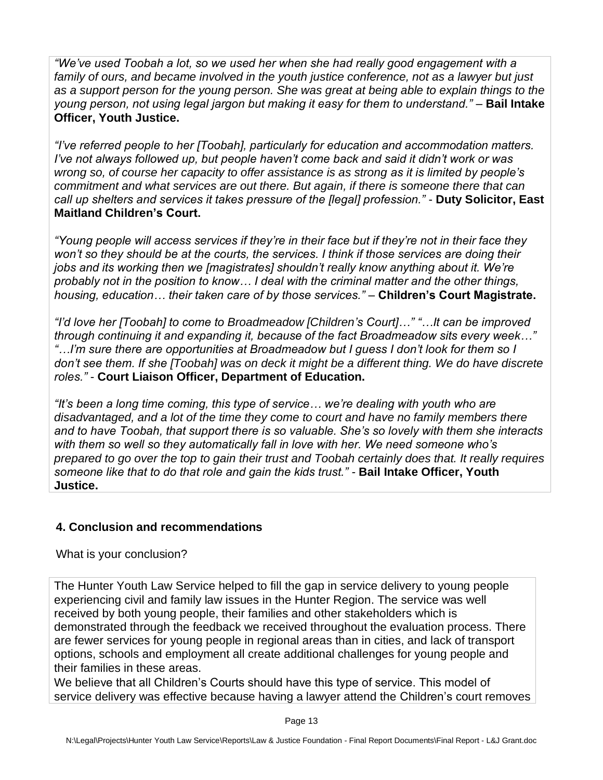*"We've used Toobah a lot, so we used her when she had really good engagement with a family of ours, and became involved in the youth justice conference, not as a lawyer but just as a support person for the young person. She was great at being able to explain things to the young person, not using legal jargon but making it easy for them to understand."* – **Bail Intake Officer, Youth Justice.**

*"I've referred people to her [Toobah], particularly for education and accommodation matters. I've not always followed up, but people haven't come back and said it didn't work or was wrong so, of course her capacity to offer assistance is as strong as it is limited by people's commitment and what services are out there. But again, if there is someone there that can call up shelters and services it takes pressure of the [legal] profession."* - **Duty Solicitor, East Maitland Children's Court.**

*"Young people will access services if they're in their face but if they're not in their face they won't so they should be at the courts, the services. I think if those services are doing their jobs and its working then we [magistrates] shouldn't really know anything about it. We're probably not in the position to know… I deal with the criminal matter and the other things, housing, education… their taken care of by those services."* – **Children's Court Magistrate.** 

*"I'd love her [Toobah] to come to Broadmeadow [Children's Court]…" "…It can be improved through continuing it and expanding it, because of the fact Broadmeadow sits every week…" "…I'm sure there are opportunities at Broadmeadow but I guess I don't look for them so I*  don't see them. If she [Toobah] was on deck it might be a different thing. We do have discrete *roles."* - **Court Liaison Officer, Department of Education.**

*"It's been a long time coming, this type of service… we're dealing with youth who are disadvantaged, and a lot of the time they come to court and have no family members there and to have Toobah, that support there is so valuable. She's so lovely with them she interacts with them so well so they automatically fall in love with her. We need someone who's prepared to go over the top to gain their trust and Toobah certainly does that. It really requires someone like that to do that role and gain the kids trust." -* **Bail Intake Officer, Youth Justice.**

### **4. Conclusion and recommendations**

What is your conclusion?

The Hunter Youth Law Service helped to fill the gap in service delivery to young people experiencing civil and family law issues in the Hunter Region. The service was well received by both young people, their families and other stakeholders which is demonstrated through the feedback we received throughout the evaluation process. There are fewer services for young people in regional areas than in cities, and lack of transport options, schools and employment all create additional challenges for young people and their families in these areas.

We believe that all Children's Courts should have this type of service. This model of service delivery was effective because having a lawyer attend the Children's court removes